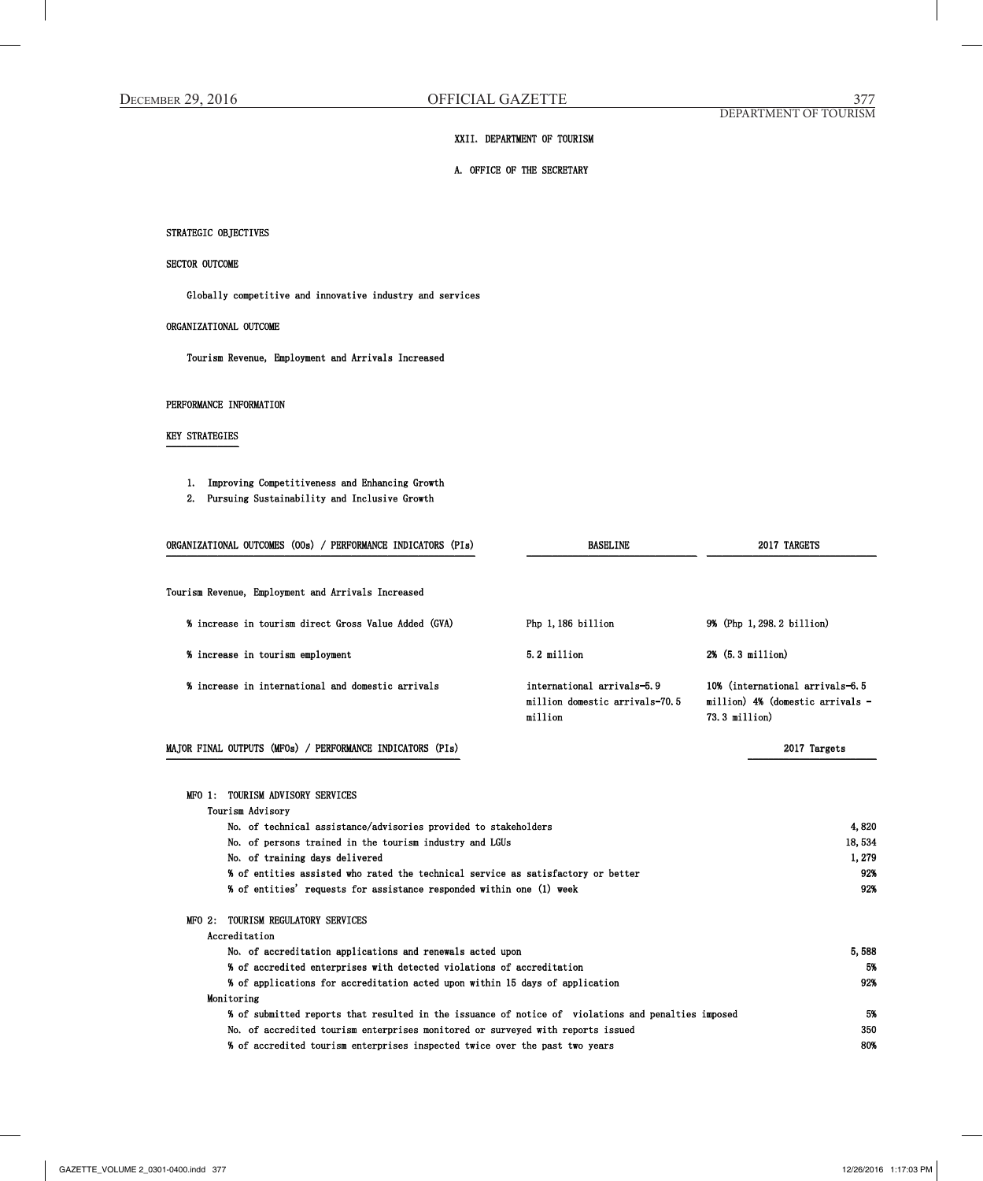## XXII. DEPARTMENT OF TOURISM

# A. OFFICE OF THE SECRETARY

# STRATEGIC OBJECTIVES

## SECTOR OUTCOME

Globally competitive and innovative industry and services

## ORGANIZATIONAL OUTCOME

Tourism Revenue, Employment and Arrivals Increased

#### PERFORMANCE INFORMATION

## KEY STRATEGIES ¯¯¯¯¯¯¯¯¯¯¯¯¯¯

- 1. Improving Competitiveness and Enhancing Growth
- 2. Pursuing Sustainability and Inclusive Growth

| ORGANIZATIONAL OUTCOMES (OOs) / PERFORMANCE INDICATORS (PIs)                                                                                                                                                       | <b>BASELINE</b>                                                         | 2017 TARGETS                                                                              |
|--------------------------------------------------------------------------------------------------------------------------------------------------------------------------------------------------------------------|-------------------------------------------------------------------------|-------------------------------------------------------------------------------------------|
| Tourism Revenue, Employment and Arrivals Increased                                                                                                                                                                 |                                                                         |                                                                                           |
| % increase in tourism direct Gross Value Added (GVA)                                                                                                                                                               | Php 1,186 billion                                                       | 9% (Php 1, 298. 2 billion)                                                                |
| % increase in tourism employment                                                                                                                                                                                   | 5.2 million                                                             | 2% (5.3 million)                                                                          |
| % increase in international and domestic arrivals                                                                                                                                                                  | international arrivals-5.9<br>million domestic arrivals-70.5<br>million | 10% (international arrivals-6.5<br>million) $4\%$ (domestic arrivals -<br>$73.3$ million) |
| MAJOR FINAL OUTPUTS (MFOs) / PERFORMANCE INDICATORS (PIs)                                                                                                                                                          |                                                                         | 2017 Targets                                                                              |
| TOURISM ADVISORY SERVICES<br>MFO 1:<br>Tourism Advisory<br>No. of technical assistance/advisories provided to stakeholders<br>No. of persons trained in the tourism industry and LGUs                              |                                                                         | 4,820<br>18,534                                                                           |
| No. of training days delivered<br>% of entities assisted who rated the technical service as satisfactory or better<br>% of entities' requests for assistance responded within one (1) week                         |                                                                         | 1,279<br>92%<br>92%                                                                       |
| TOURISM REGULATORY SERVICES<br>$MTO2$ :<br>Accreditation                                                                                                                                                           |                                                                         |                                                                                           |
| No. of accreditation applications and renewals acted upon<br>% of accredited enterprises with detected violations of accreditation<br>% of applications for accreditation acted upon within 15 days of application |                                                                         | 5,588<br>5%<br>92%                                                                        |
| Monitoring<br>% of submitted reports that resulted in the issuance of notice of violations and penalties imposed<br>No. of accredited tourism enterprises monitored or surveyed with reports issued                |                                                                         | 5%<br>350                                                                                 |
| % of accredited tourism enterprises inspected twice over the past two years                                                                                                                                        |                                                                         | 80%                                                                                       |